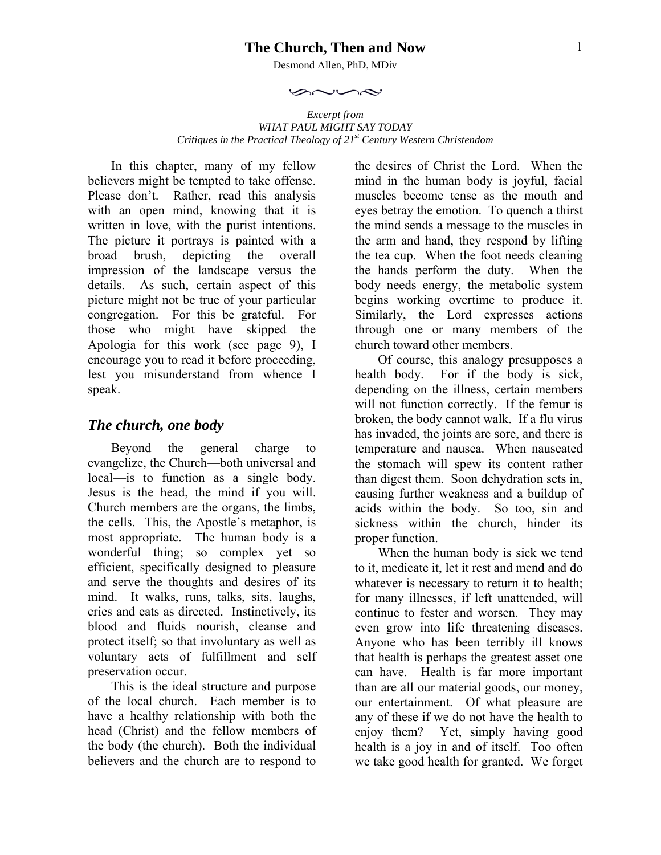#### **The Church, Then and Now**

Desmond Allen, PhD, MDiv

 $\curvearrowright \curvearrowright \curvearrowright$ 

*Excerpt from WHAT PAUL MIGHT SAY TODAY Critiques in the Practical Theology of 21st Century Western Christendom* 

In this chapter, many of my fellow believers might be tempted to take offense. Please don't. Rather, read this analysis with an open mind, knowing that it is written in love, with the purist intentions. The picture it portrays is painted with a broad brush, depicting the overall impression of the landscape versus the details. As such, certain aspect of this picture might not be true of your particular congregation. For this be grateful. For those who might have skipped the Apologia for this work (see page 9), I encourage you to read it before proceeding, lest you misunderstand from whence I speak.

#### *The church, one body*

Beyond the general charge to evangelize, the Church—both universal and local—is to function as a single body. Jesus is the head, the mind if you will. Church members are the organs, the limbs, the cells. This, the Apostle's metaphor, is most appropriate. The human body is a wonderful thing; so complex yet so efficient, specifically designed to pleasure and serve the thoughts and desires of its mind. It walks, runs, talks, sits, laughs, cries and eats as directed. Instinctively, its blood and fluids nourish, cleanse and protect itself; so that involuntary as well as voluntary acts of fulfillment and self preservation occur.

This is the ideal structure and purpose of the local church. Each member is to have a healthy relationship with both the head (Christ) and the fellow members of the body (the church). Both the individual believers and the church are to respond to

the desires of Christ the Lord. When the mind in the human body is joyful, facial muscles become tense as the mouth and eyes betray the emotion. To quench a thirst the mind sends a message to the muscles in the arm and hand, they respond by lifting the tea cup. When the foot needs cleaning the hands perform the duty. When the body needs energy, the metabolic system begins working overtime to produce it. Similarly, the Lord expresses actions through one or many members of the church toward other members.

Of course, this analogy presupposes a health body. For if the body is sick, depending on the illness, certain members will not function correctly. If the femur is broken, the body cannot walk. If a flu virus has invaded, the joints are sore, and there is temperature and nausea. When nauseated the stomach will spew its content rather than digest them. Soon dehydration sets in, causing further weakness and a buildup of acids within the body. So too, sin and sickness within the church, hinder its proper function.

When the human body is sick we tend to it, medicate it, let it rest and mend and do whatever is necessary to return it to health; for many illnesses, if left unattended, will continue to fester and worsen. They may even grow into life threatening diseases. Anyone who has been terribly ill knows that health is perhaps the greatest asset one can have. Health is far more important than are all our material goods, our money, our entertainment. Of what pleasure are any of these if we do not have the health to enjoy them? Yet, simply having good health is a joy in and of itself. Too often we take good health for granted. We forget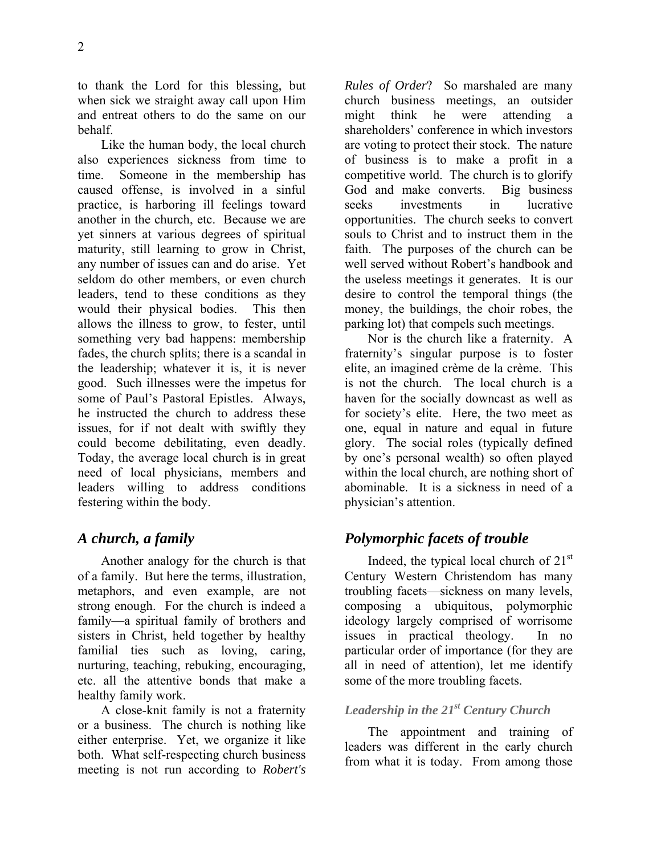to thank the Lord for this blessing, but when sick we straight away call upon Him and entreat others to do the same on our behalf.

Like the human body, the local church also experiences sickness from time to time. Someone in the membership has caused offense, is involved in a sinful practice, is harboring ill feelings toward another in the church, etc. Because we are yet sinners at various degrees of spiritual maturity, still learning to grow in Christ, any number of issues can and do arise. Yet seldom do other members, or even church leaders, tend to these conditions as they would their physical bodies. This then allows the illness to grow, to fester, until something very bad happens: membership fades, the church splits; there is a scandal in the leadership; whatever it is, it is never good. Such illnesses were the impetus for some of Paul's Pastoral Epistles. Always, he instructed the church to address these issues, for if not dealt with swiftly they could become debilitating, even deadly. Today, the average local church is in great need of local physicians, members and leaders willing to address conditions festering within the body.

# *A church, a family*

Another analogy for the church is that of a family. But here the terms, illustration, metaphors, and even example, are not strong enough. For the church is indeed a family—a spiritual family of brothers and sisters in Christ, held together by healthy familial ties such as loving, caring, nurturing, teaching, rebuking, encouraging, etc. all the attentive bonds that make a healthy family work.

A close-knit family is not a fraternity or a business. The church is nothing like either enterprise. Yet, we organize it like both. What self-respecting church business meeting is not run according to *Robert's*  *Rules of Order*? So marshaled are many church business meetings, an outsider might think he were attending a shareholders' conference in which investors are voting to protect their stock. The nature of business is to make a profit in a competitive world. The church is to glorify God and make converts. Big business seeks investments in lucrative opportunities. The church seeks to convert souls to Christ and to instruct them in the faith. The purposes of the church can be well served without Robert's handbook and the useless meetings it generates. It is our desire to control the temporal things (the money, the buildings, the choir robes, the parking lot) that compels such meetings.

Nor is the church like a fraternity. A fraternity's singular purpose is to foster elite, an imagined crème de la crème. This is not the church. The local church is a haven for the socially downcast as well as for society's elite. Here, the two meet as one, equal in nature and equal in future glory. The social roles (typically defined by one's personal wealth) so often played within the local church, are nothing short of abominable. It is a sickness in need of a physician's attention.

# *Polymorphic facets of trouble*

Indeed, the typical local church of  $21<sup>st</sup>$ Century Western Christendom has many troubling facets—sickness on many levels, composing a ubiquitous, polymorphic ideology largely comprised of worrisome issues in practical theology. In no particular order of importance (for they are all in need of attention), let me identify some of the more troubling facets.

## *Leadership in the 21st Century Church*

The appointment and training of leaders was different in the early church from what it is today. From among those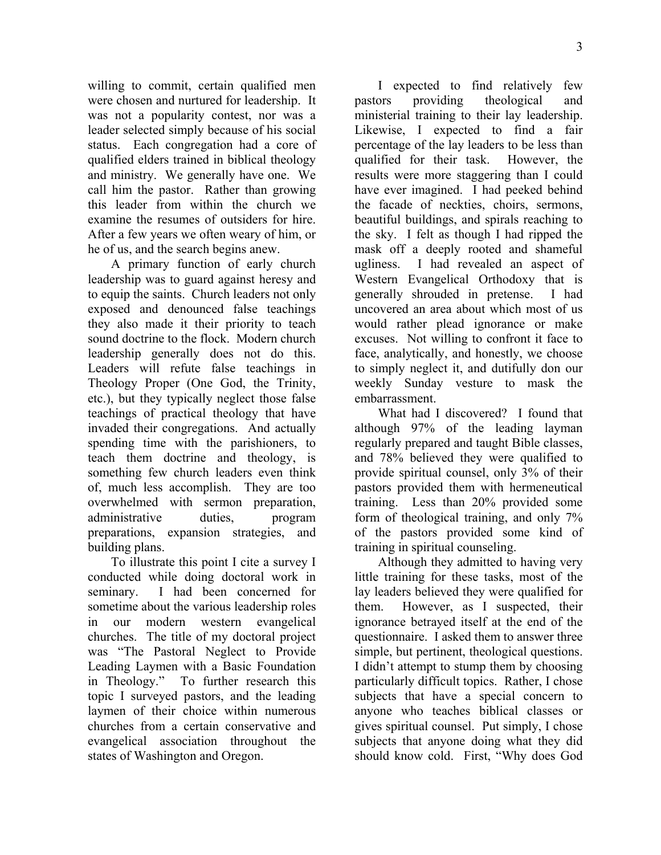willing to commit, certain qualified men were chosen and nurtured for leadership. It was not a popularity contest, nor was a leader selected simply because of his social status. Each congregation had a core of qualified elders trained in biblical theology and ministry. We generally have one. We call him the pastor. Rather than growing this leader from within the church we examine the resumes of outsiders for hire. After a few years we often weary of him, or he of us, and the search begins anew.

A primary function of early church leadership was to guard against heresy and to equip the saints. Church leaders not only exposed and denounced false teachings they also made it their priority to teach sound doctrine to the flock. Modern church leadership generally does not do this. Leaders will refute false teachings in Theology Proper (One God, the Trinity, etc.), but they typically neglect those false teachings of practical theology that have invaded their congregations. And actually spending time with the parishioners, to teach them doctrine and theology, is something few church leaders even think of, much less accomplish. They are too overwhelmed with sermon preparation, administrative duties, program preparations, expansion strategies, and building plans.

To illustrate this point I cite a survey I conducted while doing doctoral work in seminary. I had been concerned for sometime about the various leadership roles in our modern western evangelical churches. The title of my doctoral project was "The Pastoral Neglect to Provide Leading Laymen with a Basic Foundation in Theology." To further research this topic I surveyed pastors, and the leading laymen of their choice within numerous churches from a certain conservative and evangelical association throughout the states of Washington and Oregon.

I expected to find relatively few pastors providing theological and ministerial training to their lay leadership. Likewise, I expected to find a fair percentage of the lay leaders to be less than qualified for their task. However, the results were more staggering than I could have ever imagined. I had peeked behind the facade of neckties, choirs, sermons, beautiful buildings, and spirals reaching to the sky. I felt as though I had ripped the mask off a deeply rooted and shameful ugliness. I had revealed an aspect of Western Evangelical Orthodoxy that is generally shrouded in pretense. I had uncovered an area about which most of us would rather plead ignorance or make excuses. Not willing to confront it face to face, analytically, and honestly, we choose to simply neglect it, and dutifully don our weekly Sunday vesture to mask the embarrassment.

What had I discovered? I found that although 97% of the leading layman regularly prepared and taught Bible classes, and 78% believed they were qualified to provide spiritual counsel, only 3% of their pastors provided them with hermeneutical training. Less than 20% provided some form of theological training, and only 7% of the pastors provided some kind of training in spiritual counseling.

Although they admitted to having very little training for these tasks, most of the lay leaders believed they were qualified for them. However, as I suspected, their ignorance betrayed itself at the end of the questionnaire. I asked them to answer three simple, but pertinent, theological questions. I didn't attempt to stump them by choosing particularly difficult topics. Rather, I chose subjects that have a special concern to anyone who teaches biblical classes or gives spiritual counsel. Put simply, I chose subjects that anyone doing what they did should know cold. First, "Why does God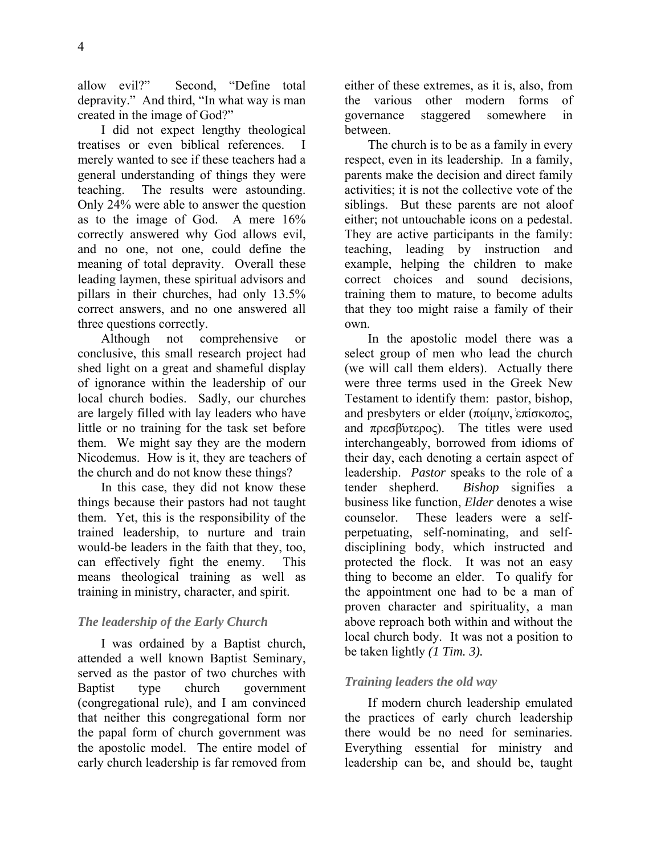allow evil?" Second, "Define total depravity." And third, "In what way is man created in the image of God?"

I did not expect lengthy theological treatises or even biblical references. I merely wanted to see if these teachers had a general understanding of things they were teaching. The results were astounding. Only 24% were able to answer the question as to the image of God. A mere 16% correctly answered why God allows evil, and no one, not one, could define the meaning of total depravity. Overall these leading laymen, these spiritual advisors and pillars in their churches, had only 13.5% correct answers, and no one answered all three questions correctly.

Although not comprehensive or conclusive, this small research project had shed light on a great and shameful display of ignorance within the leadership of our local church bodies. Sadly, our churches are largely filled with lay leaders who have little or no training for the task set before them. We might say they are the modern Nicodemus. How is it, they are teachers of the church and do not know these things?

In this case, they did not know these things because their pastors had not taught them. Yet, this is the responsibility of the trained leadership, to nurture and train would-be leaders in the faith that they, too, can effectively fight the enemy. This means theological training as well as training in ministry, character, and spirit.

### *The leadership of the Early Church*

I was ordained by a Baptist church, attended a well known Baptist Seminary, served as the pastor of two churches with Baptist type church government (congregational rule), and I am convinced that neither this congregational form nor the papal form of church government was the apostolic model. The entire model of early church leadership is far removed from either of these extremes, as it is, also, from the various other modern forms of governance staggered somewhere in between.

The church is to be as a family in every respect, even in its leadership. In a family, parents make the decision and direct family activities; it is not the collective vote of the siblings. But these parents are not aloof either; not untouchable icons on a pedestal. They are active participants in the family: teaching, leading by instruction and example, helping the children to make correct choices and sound decisions, training them to mature, to become adults that they too might raise a family of their own.

In the apostolic model there was a select group of men who lead the church (we will call them elders). Actually there were three terms used in the Greek New Testament to identify them: pastor, bishop, and presbyters or elder (ποίμην, επίσκοπος, and  $\pi \rho \epsilon \sigma \beta \omega \epsilon$ . The titles were used interchangeably, borrowed from idioms of their day, each denoting a certain aspect of leadership. *Pastor* speaks to the role of a tender shepherd. *Bishop* signifies a business like function, *Elder* denotes a wise counselor. These leaders were a selfperpetuating, self-nominating, and selfdisciplining body, which instructed and protected the flock. It was not an easy thing to become an elder. To qualify for the appointment one had to be a man of proven character and spirituality, a man above reproach both within and without the local church body. It was not a position to be taken lightly *(1 Tim. 3).* 

### *Training leaders the old way*

If modern church leadership emulated the practices of early church leadership there would be no need for seminaries. Everything essential for ministry and leadership can be, and should be, taught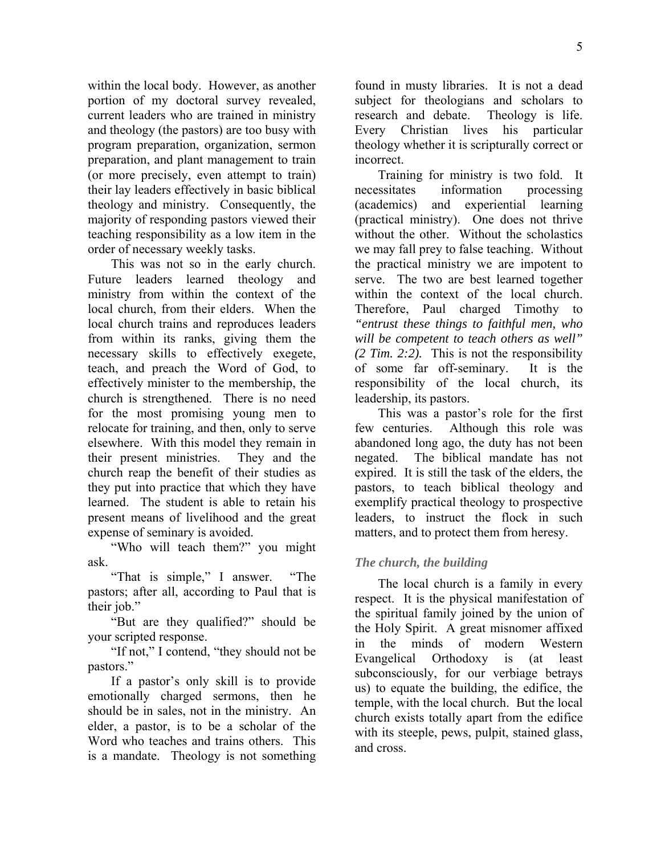within the local body. However, as another portion of my doctoral survey revealed, current leaders who are trained in ministry and theology (the pastors) are too busy with program preparation, organization, sermon preparation, and plant management to train (or more precisely, even attempt to train) their lay leaders effectively in basic biblical theology and ministry. Consequently, the majority of responding pastors viewed their teaching responsibility as a low item in the order of necessary weekly tasks.

This was not so in the early church. Future leaders learned theology and ministry from within the context of the local church, from their elders. When the local church trains and reproduces leaders from within its ranks, giving them the necessary skills to effectively exegete, teach, and preach the Word of God, to effectively minister to the membership, the church is strengthened. There is no need for the most promising young men to relocate for training, and then, only to serve elsewhere. With this model they remain in their present ministries. They and the church reap the benefit of their studies as they put into practice that which they have learned. The student is able to retain his present means of livelihood and the great expense of seminary is avoided.

"Who will teach them?" you might ask.

"That is simple," I answer. "The pastors; after all, according to Paul that is their job."

"But are they qualified?" should be your scripted response.

"If not," I contend, "they should not be pastors."

If a pastor's only skill is to provide emotionally charged sermons, then he should be in sales, not in the ministry. An elder, a pastor, is to be a scholar of the Word who teaches and trains others. This is a mandate. Theology is not something found in musty libraries. It is not a dead subject for theologians and scholars to research and debate. Theology is life. Every Christian lives his particular theology whether it is scripturally correct or incorrect.

Training for ministry is two fold. It necessitates information processing (academics) and experiential learning (practical ministry). One does not thrive without the other. Without the scholastics we may fall prey to false teaching. Without the practical ministry we are impotent to serve. The two are best learned together within the context of the local church. Therefore, Paul charged Timothy to *"entrust these things to faithful men, who will be competent to teach others as well" (2 Tim. 2:2).* This is not the responsibility of some far off-seminary. It is the responsibility of the local church, its leadership, its pastors.

This was a pastor's role for the first few centuries. Although this role was abandoned long ago, the duty has not been negated. The biblical mandate has not expired. It is still the task of the elders, the pastors, to teach biblical theology and exemplify practical theology to prospective leaders, to instruct the flock in such matters, and to protect them from heresy.

### *The church, the building*

The local church is a family in every respect. It is the physical manifestation of the spiritual family joined by the union of the Holy Spirit. A great misnomer affixed in the minds of modern Western Evangelical Orthodoxy is (at least subconsciously, for our verbiage betrays us) to equate the building, the edifice, the temple, with the local church. But the local church exists totally apart from the edifice with its steeple, pews, pulpit, stained glass, and cross.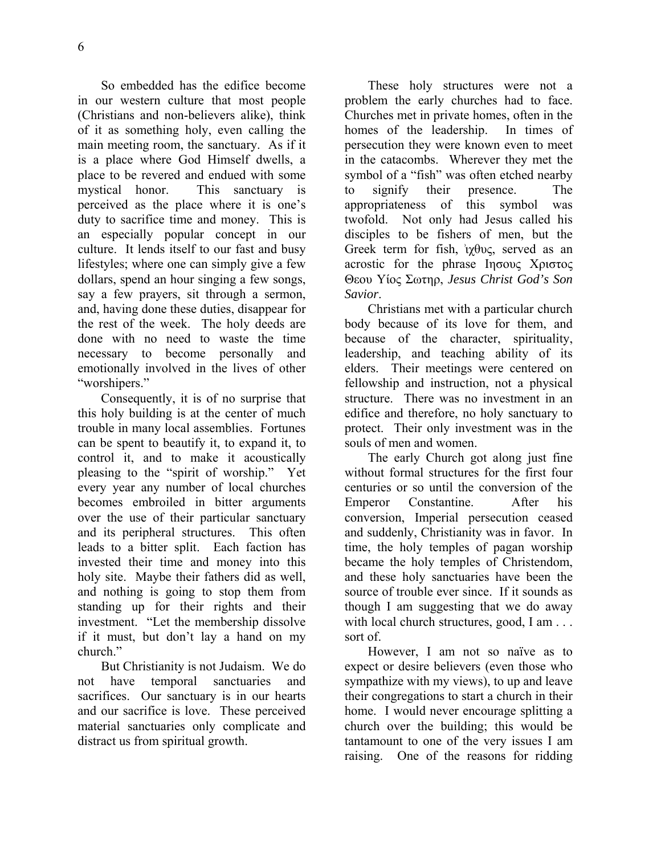6

So embedded has the edifice become in our western culture that most people (Christians and non-believers alike), think of it as something holy, even calling the main meeting room, the sanctuary. As if it is a place where God Himself dwells, a place to be revered and endued with some mystical honor. This sanctuary is perceived as the place where it is one's duty to sacrifice time and money. This is an especially popular concept in our culture. It lends itself to our fast and busy lifestyles; where one can simply give a few dollars, spend an hour singing a few songs, say a few prayers, sit through a sermon, and, having done these duties, disappear for the rest of the week. The holy deeds are done with no need to waste the time necessary to become personally and emotionally involved in the lives of other "worshipers."

Consequently, it is of no surprise that this holy building is at the center of much trouble in many local assemblies. Fortunes can be spent to beautify it, to expand it, to control it, and to make it acoustically pleasing to the "spirit of worship." Yet every year any number of local churches becomes embroiled in bitter arguments over the use of their particular sanctuary and its peripheral structures. This often leads to a bitter split. Each faction has invested their time and money into this holy site. Maybe their fathers did as well, and nothing is going to stop them from standing up for their rights and their investment. "Let the membership dissolve if it must, but don't lay a hand on my church."

But Christianity is not Judaism. We do not have temporal sanctuaries and sacrifices. Our sanctuary is in our hearts and our sacrifice is love. These perceived material sanctuaries only complicate and distract us from spiritual growth.

These holy structures were not a problem the early churches had to face. Churches met in private homes, often in the homes of the leadership. In times of persecution they were known even to meet in the catacombs. Wherever they met the symbol of a "fish" was often etched nearby to signify their presence. The appropriateness of this symbol was twofold. Not only had Jesus called his disciples to be fishers of men, but the Greek term for fish, *άχθυς*, served as an acrostic for the phrase Ιησους Χριστος Θεου Υίος Σωτηρ, *Jesus Christ God's Son Savior*.

Christians met with a particular church body because of its love for them, and because of the character, spirituality, leadership, and teaching ability of its elders. Their meetings were centered on fellowship and instruction, not a physical structure. There was no investment in an edifice and therefore, no holy sanctuary to protect. Their only investment was in the souls of men and women.

The early Church got along just fine without formal structures for the first four centuries or so until the conversion of the Emperor Constantine. After his conversion, Imperial persecution ceased and suddenly, Christianity was in favor. In time, the holy temples of pagan worship became the holy temples of Christendom, and these holy sanctuaries have been the source of trouble ever since. If it sounds as though I am suggesting that we do away with local church structures, good, I am . . . sort of.

However, I am not so naïve as to expect or desire believers (even those who sympathize with my views), to up and leave their congregations to start a church in their home. I would never encourage splitting a church over the building; this would be tantamount to one of the very issues I am raising. One of the reasons for ridding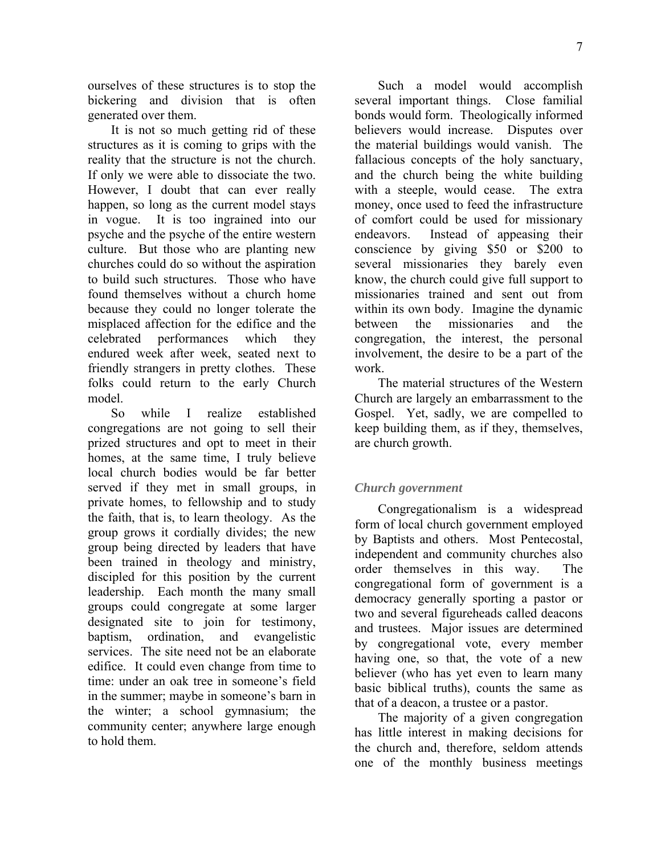ourselves of these structures is to stop the bickering and division that is often generated over them.

It is not so much getting rid of these structures as it is coming to grips with the reality that the structure is not the church. If only we were able to dissociate the two. However, I doubt that can ever really happen, so long as the current model stays in vogue. It is too ingrained into our psyche and the psyche of the entire western culture. But those who are planting new churches could do so without the aspiration to build such structures. Those who have found themselves without a church home because they could no longer tolerate the misplaced affection for the edifice and the celebrated performances which they endured week after week, seated next to friendly strangers in pretty clothes. These folks could return to the early Church model.

So while I realize established congregations are not going to sell their prized structures and opt to meet in their homes, at the same time, I truly believe local church bodies would be far better served if they met in small groups, in private homes, to fellowship and to study the faith, that is, to learn theology. As the group grows it cordially divides; the new group being directed by leaders that have been trained in theology and ministry, discipled for this position by the current leadership. Each month the many small groups could congregate at some larger designated site to join for testimony, baptism, ordination, and evangelistic services. The site need not be an elaborate edifice. It could even change from time to time: under an oak tree in someone's field in the summer; maybe in someone's barn in the winter; a school gymnasium; the community center; anywhere large enough to hold them.

Such a model would accomplish several important things. Close familial bonds would form. Theologically informed believers would increase. Disputes over the material buildings would vanish. The fallacious concepts of the holy sanctuary, and the church being the white building with a steeple, would cease. The extra money, once used to feed the infrastructure of comfort could be used for missionary endeavors. Instead of appeasing their conscience by giving \$50 or \$200 to several missionaries they barely even know, the church could give full support to missionaries trained and sent out from within its own body. Imagine the dynamic between the missionaries and the congregation, the interest, the personal involvement, the desire to be a part of the work.

The material structures of the Western Church are largely an embarrassment to the Gospel. Yet, sadly, we are compelled to keep building them, as if they, themselves, are church growth.

## *Church government*

Congregationalism is a widespread form of local church government employed by Baptists and others. Most Pentecostal, independent and community churches also order themselves in this way. The congregational form of government is a democracy generally sporting a pastor or two and several figureheads called deacons and trustees. Major issues are determined by congregational vote, every member having one, so that, the vote of a new believer (who has yet even to learn many basic biblical truths), counts the same as that of a deacon, a trustee or a pastor.

The majority of a given congregation has little interest in making decisions for the church and, therefore, seldom attends one of the monthly business meetings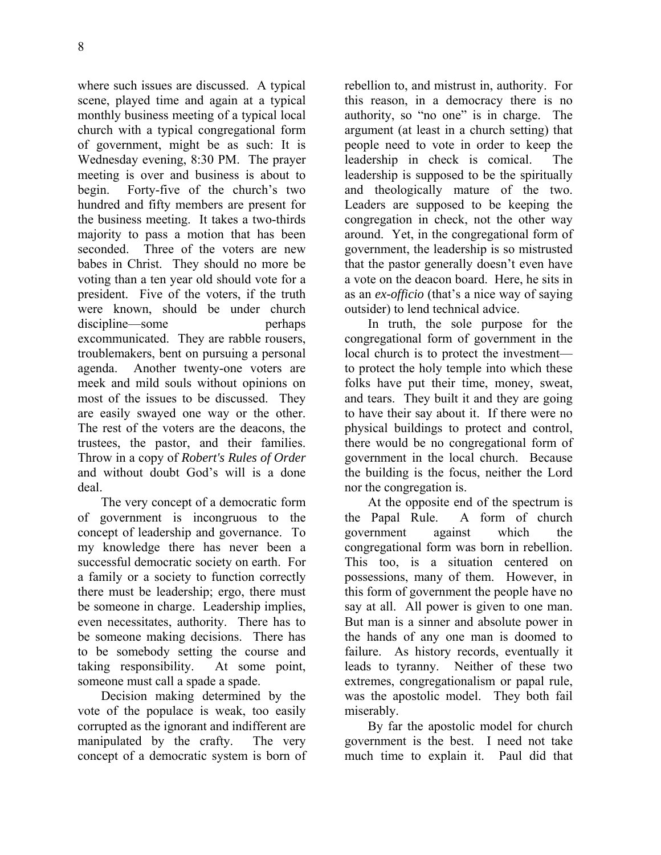where such issues are discussed. A typical scene, played time and again at a typical monthly business meeting of a typical local church with a typical congregational form of government, might be as such: It is Wednesday evening, 8:30 PM. The prayer meeting is over and business is about to begin. Forty-five of the church's two hundred and fifty members are present for the business meeting. It takes a two-thirds majority to pass a motion that has been seconded. Three of the voters are new babes in Christ. They should no more be voting than a ten year old should vote for a president. Five of the voters, if the truth were known, should be under church discipline—some perhaps excommunicated. They are rabble rousers, troublemakers, bent on pursuing a personal agenda. Another twenty-one voters are meek and mild souls without opinions on most of the issues to be discussed. They are easily swayed one way or the other. The rest of the voters are the deacons, the trustees, the pastor, and their families. Throw in a copy of *Robert's Rules of Order* and without doubt God's will is a done deal.

The very concept of a democratic form of government is incongruous to the concept of leadership and governance. To my knowledge there has never been a successful democratic society on earth. For a family or a society to function correctly there must be leadership; ergo, there must be someone in charge. Leadership implies, even necessitates, authority. There has to be someone making decisions. There has to be somebody setting the course and taking responsibility. At some point, someone must call a spade a spade.

Decision making determined by the vote of the populace is weak, too easily corrupted as the ignorant and indifferent are manipulated by the crafty. The very concept of a democratic system is born of rebellion to, and mistrust in, authority. For this reason, in a democracy there is no authority, so "no one" is in charge. The argument (at least in a church setting) that people need to vote in order to keep the leadership in check is comical. The leadership is supposed to be the spiritually and theologically mature of the two. Leaders are supposed to be keeping the congregation in check, not the other way around. Yet, in the congregational form of government, the leadership is so mistrusted that the pastor generally doesn't even have a vote on the deacon board. Here, he sits in as an *ex-officio* (that's a nice way of saying outsider) to lend technical advice.

In truth, the sole purpose for the congregational form of government in the local church is to protect the investment to protect the holy temple into which these folks have put their time, money, sweat, and tears. They built it and they are going to have their say about it. If there were no physical buildings to protect and control, there would be no congregational form of government in the local church. Because the building is the focus, neither the Lord nor the congregation is.

At the opposite end of the spectrum is the Papal Rule. A form of church government against which the congregational form was born in rebellion. This too, is a situation centered on possessions, many of them. However, in this form of government the people have no say at all. All power is given to one man. But man is a sinner and absolute power in the hands of any one man is doomed to failure. As history records, eventually it leads to tyranny. Neither of these two extremes, congregationalism or papal rule, was the apostolic model. They both fail miserably.

By far the apostolic model for church government is the best. I need not take much time to explain it. Paul did that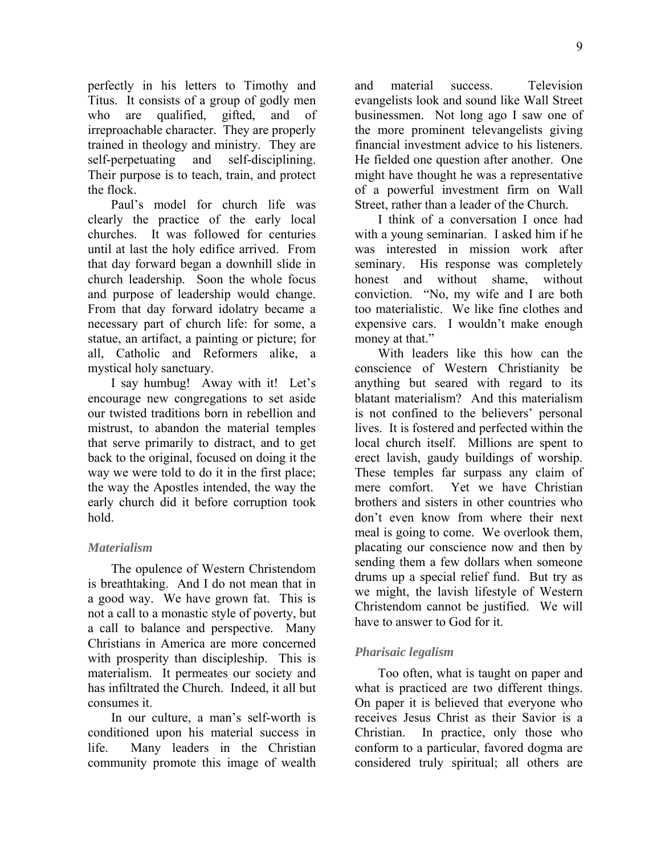perfectly in his letters to Timothy and Titus. It consists of a group of godly men who are qualified, gifted, and of irreproachable character. They are properly trained in theology and ministry. They are self-perpetuating and self-disciplining. Their purpose is to teach, train, and protect the flock.

Paul's model for church life was clearly the practice of the early local churches. It was followed for centuries until at last the holy edifice arrived. From that day forward began a downhill slide in church leadership. Soon the whole focus and purpose of leadership would change. From that day forward idolatry became a necessary part of church life: for some, a statue, an artifact, a painting or picture; for all, Catholic and Reformers alike, a mystical holy sanctuary.

I say humbug! Away with it! Let's encourage new congregations to set aside our twisted traditions born in rebellion and mistrust, to abandon the material temples that serve primarily to distract, and to get back to the original, focused on doing it the way we were told to do it in the first place; the way the Apostles intended, the way the early church did it before corruption took hold.

#### *Materialism*

The opulence of Western Christendom is breathtaking. And I do not mean that in a good way. We have grown fat. This is not a call to a monastic style of poverty, but a call to balance and perspective. Many Christians in America are more concerned with prosperity than discipleship. This is materialism. It permeates our society and has infiltrated the Church. Indeed, it all but consumes it.

In our culture, a man's self-worth is conditioned upon his material success in life. Many leaders in the Christian community promote this image of wealth and material success. Television evangelists look and sound like Wall Street businessmen. Not long ago I saw one of the more prominent televangelists giving financial investment advice to his listeners. He fielded one question after another. One might have thought he was a representative of a powerful investment firm on Wall Street, rather than a leader of the Church.

I think of a conversation I once had with a young seminarian. I asked him if he was interested in mission work after seminary. His response was completely honest and without shame, without conviction. "No, my wife and I are both too materialistic. We like fine clothes and expensive cars. I wouldn't make enough money at that."

With leaders like this how can the conscience of Western Christianity be anything but seared with regard to its blatant materialism? And this materialism is not confined to the believers' personal lives. It is fostered and perfected within the local church itself. Millions are spent to erect lavish, gaudy buildings of worship. These temples far surpass any claim of mere comfort. Yet we have Christian brothers and sisters in other countries who don't even know from where their next meal is going to come. We overlook them, placating our conscience now and then by sending them a few dollars when someone drums up a special relief fund. But try as we might, the lavish lifestyle of Western Christendom cannot be justified. We will have to answer to God for it.

### *Pharisaic legalism*

Too often, what is taught on paper and what is practiced are two different things. On paper it is believed that everyone who receives Jesus Christ as their Savior is a Christian. In practice, only those who conform to a particular, favored dogma are considered truly spiritual; all others are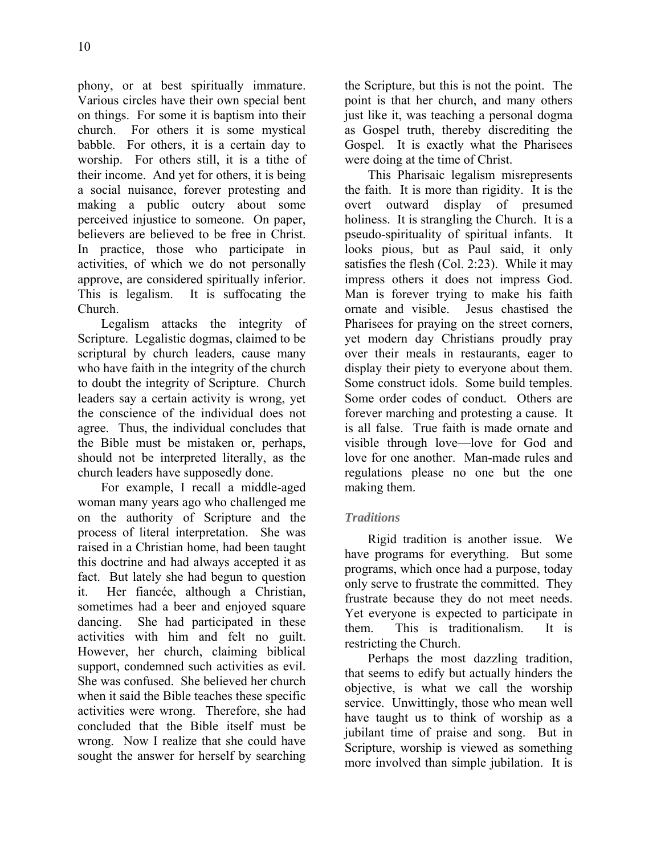phony, or at best spiritually immature. Various circles have their own special bent on things. For some it is baptism into their church. For others it is some mystical babble. For others, it is a certain day to worship. For others still, it is a tithe of their income. And yet for others, it is being a social nuisance, forever protesting and making a public outcry about some perceived injustice to someone. On paper, believers are believed to be free in Christ. In practice, those who participate in activities, of which we do not personally approve, are considered spiritually inferior. This is legalism. It is suffocating the Church.

Legalism attacks the integrity of Scripture. Legalistic dogmas, claimed to be scriptural by church leaders, cause many who have faith in the integrity of the church to doubt the integrity of Scripture. Church leaders say a certain activity is wrong, yet the conscience of the individual does not agree. Thus, the individual concludes that the Bible must be mistaken or, perhaps, should not be interpreted literally, as the church leaders have supposedly done.

For example, I recall a middle-aged woman many years ago who challenged me on the authority of Scripture and the process of literal interpretation. She was raised in a Christian home, had been taught this doctrine and had always accepted it as fact. But lately she had begun to question it. Her fiancée, although a Christian, sometimes had a beer and enjoyed square dancing. She had participated in these activities with him and felt no guilt. However, her church, claiming biblical support, condemned such activities as evil. She was confused. She believed her church when it said the Bible teaches these specific activities were wrong. Therefore, she had concluded that the Bible itself must be wrong. Now I realize that she could have sought the answer for herself by searching the Scripture, but this is not the point. The point is that her church, and many others just like it, was teaching a personal dogma as Gospel truth, thereby discrediting the Gospel. It is exactly what the Pharisees were doing at the time of Christ.

This Pharisaic legalism misrepresents the faith. It is more than rigidity. It is the overt outward display of presumed holiness. It is strangling the Church. It is a pseudo-spirituality of spiritual infants. It looks pious, but as Paul said, it only satisfies the flesh (Col. 2:23). While it may impress others it does not impress God. Man is forever trying to make his faith ornate and visible. Jesus chastised the Pharisees for praying on the street corners, yet modern day Christians proudly pray over their meals in restaurants, eager to display their piety to everyone about them. Some construct idols. Some build temples. Some order codes of conduct. Others are forever marching and protesting a cause. It is all false. True faith is made ornate and visible through love—love for God and love for one another. Man-made rules and regulations please no one but the one making them.

### *Traditions*

Rigid tradition is another issue. We have programs for everything. But some programs, which once had a purpose, today only serve to frustrate the committed. They frustrate because they do not meet needs. Yet everyone is expected to participate in them. This is traditionalism. It is restricting the Church.

Perhaps the most dazzling tradition, that seems to edify but actually hinders the objective, is what we call the worship service. Unwittingly, those who mean well have taught us to think of worship as a jubilant time of praise and song. But in Scripture, worship is viewed as something more involved than simple jubilation. It is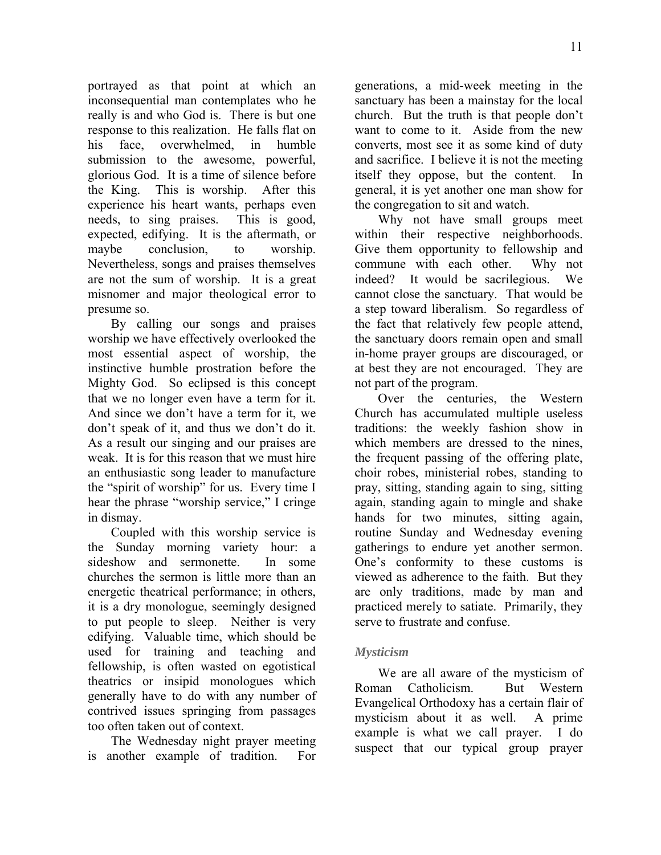portrayed as that point at which an inconsequential man contemplates who he really is and who God is. There is but one response to this realization. He falls flat on his face, overwhelmed, in humble submission to the awesome, powerful, glorious God. It is a time of silence before the King. This is worship. After this experience his heart wants, perhaps even needs, to sing praises. This is good, expected, edifying. It is the aftermath, or maybe conclusion, to worship. Nevertheless, songs and praises themselves are not the sum of worship. It is a great misnomer and major theological error to presume so.

By calling our songs and praises worship we have effectively overlooked the most essential aspect of worship, the instinctive humble prostration before the Mighty God. So eclipsed is this concept that we no longer even have a term for it. And since we don't have a term for it, we don't speak of it, and thus we don't do it. As a result our singing and our praises are weak. It is for this reason that we must hire an enthusiastic song leader to manufacture the "spirit of worship" for us. Every time I hear the phrase "worship service," I cringe in dismay.

Coupled with this worship service is the Sunday morning variety hour: a sideshow and sermonette. In some churches the sermon is little more than an energetic theatrical performance; in others, it is a dry monologue, seemingly designed to put people to sleep. Neither is very edifying. Valuable time, which should be used for training and teaching and fellowship, is often wasted on egotistical theatrics or insipid monologues which generally have to do with any number of contrived issues springing from passages too often taken out of context.

The Wednesday night prayer meeting is another example of tradition. For generations, a mid-week meeting in the sanctuary has been a mainstay for the local church. But the truth is that people don't want to come to it. Aside from the new converts, most see it as some kind of duty and sacrifice. I believe it is not the meeting itself they oppose, but the content. general, it is yet another one man show for the congregation to sit and watch.

Why not have small groups meet within their respective neighborhoods. Give them opportunity to fellowship and commune with each other. Why not indeed? It would be sacrilegious. We cannot close the sanctuary. That would be a step toward liberalism. So regardless of the fact that relatively few people attend, the sanctuary doors remain open and small in-home prayer groups are discouraged, or at best they are not encouraged. They are not part of the program.

Over the centuries, the Western Church has accumulated multiple useless traditions: the weekly fashion show in which members are dressed to the nines, the frequent passing of the offering plate, choir robes, ministerial robes, standing to pray, sitting, standing again to sing, sitting again, standing again to mingle and shake hands for two minutes, sitting again, routine Sunday and Wednesday evening gatherings to endure yet another sermon. One's conformity to these customs is viewed as adherence to the faith. But they are only traditions, made by man and practiced merely to satiate. Primarily, they serve to frustrate and confuse.

### *Mysticism*

We are all aware of the mysticism of Roman Catholicism. But Western Evangelical Orthodoxy has a certain flair of mysticism about it as well. A prime example is what we call prayer. I do suspect that our typical group prayer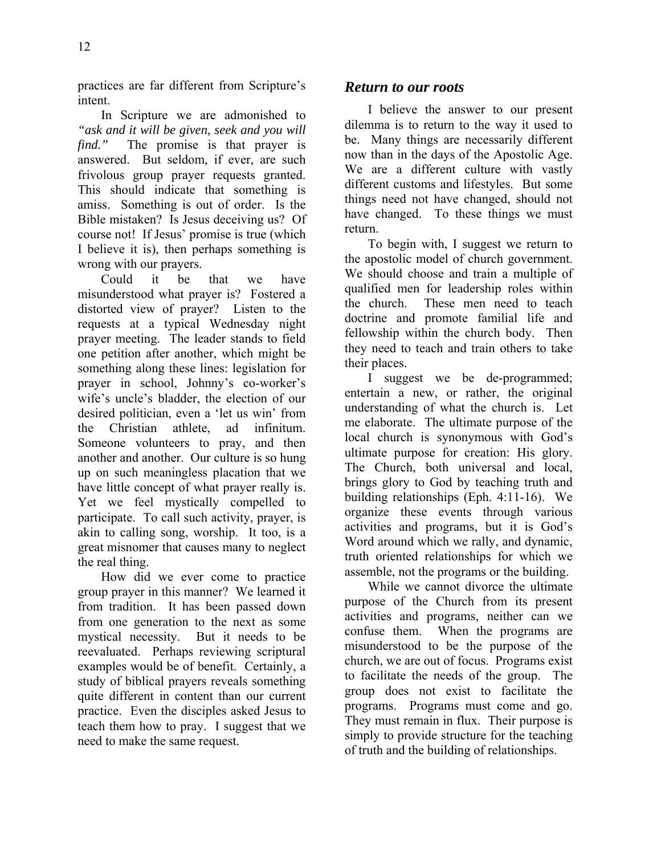practices are far different from Scripture's intent.

In Scripture we are admonished to *"ask and it will be given, seek and you will find.*" The promise is that prayer is answered. But seldom, if ever, are such frivolous group prayer requests granted. This should indicate that something is amiss. Something is out of order. Is the Bible mistaken? Is Jesus deceiving us? Of course not! If Jesus' promise is true (which I believe it is), then perhaps something is wrong with our prayers.

Could it be that we have misunderstood what prayer is? Fostered a distorted view of prayer? Listen to the requests at a typical Wednesday night prayer meeting. The leader stands to field one petition after another, which might be something along these lines: legislation for prayer in school, Johnny's co-worker's wife's uncle's bladder, the election of our desired politician, even a 'let us win' from the Christian athlete, ad infinitum. Someone volunteers to pray, and then another and another. Our culture is so hung up on such meaningless placation that we have little concept of what prayer really is. Yet we feel mystically compelled to participate. To call such activity, prayer, is akin to calling song, worship. It too, is a great misnomer that causes many to neglect the real thing.

How did we ever come to practice group prayer in this manner? We learned it from tradition. It has been passed down from one generation to the next as some mystical necessity. But it needs to be reevaluated. Perhaps reviewing scriptural examples would be of benefit. Certainly, a study of biblical prayers reveals something quite different in content than our current practice. Even the disciples asked Jesus to teach them how to pray. I suggest that we need to make the same request.

### *Return to our roots*

I believe the answer to our present dilemma is to return to the way it used to be. Many things are necessarily different now than in the days of the Apostolic Age. We are a different culture with vastly different customs and lifestyles. But some things need not have changed, should not have changed. To these things we must return.

To begin with, I suggest we return to the apostolic model of church government. We should choose and train a multiple of qualified men for leadership roles within the church. These men need to teach doctrine and promote familial life and fellowship within the church body. Then they need to teach and train others to take their places.

I suggest we be de-programmed; entertain a new, or rather, the original understanding of what the church is. Let me elaborate. The ultimate purpose of the local church is synonymous with God's ultimate purpose for creation: His glory. The Church, both universal and local, brings glory to God by teaching truth and building relationships (Eph. 4:11-16). We organize these events through various activities and programs, but it is God's Word around which we rally, and dynamic, truth oriented relationships for which we assemble, not the programs or the building.

While we cannot divorce the ultimate purpose of the Church from its present activities and programs, neither can we confuse them. When the programs are misunderstood to be the purpose of the church, we are out of focus. Programs exist to facilitate the needs of the group. The group does not exist to facilitate the programs. Programs must come and go. They must remain in flux. Their purpose is simply to provide structure for the teaching of truth and the building of relationships.